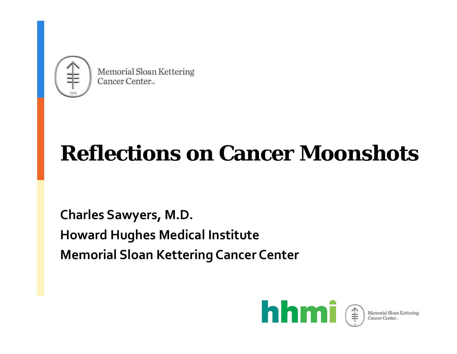

**Memorial Sloan Kettering** Cancer Center

# **Reflections on Cancer Moonshots**

**Charles Sawyers, M.D. Howard Hughes Medical Institute Memorial Sloan Kettering Cancer Center**



Memorial Sloan Kettering Cancer Center.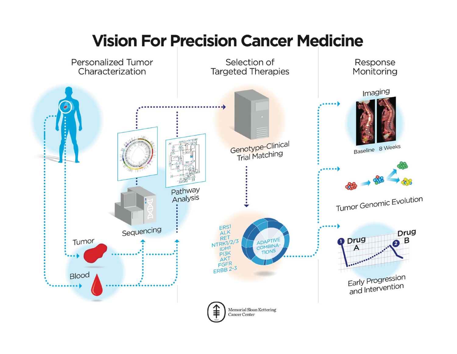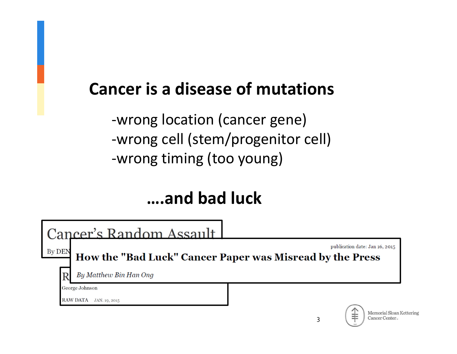# **Cancer is a disease of mutations**

‐wrong location (cancer gene) ‐wrong cell (stem/progenitor cell) ‐wrong timing (too young)

# **….and bad luck**

Cancer's Random Assault publication date: Jan 16, 2015 By DEN How the "Bad Luck" Cancer Paper was Misread by the Press By Matthew Bin Han Ong George Johnson RAW DATA JAN. 19, 2015



Memorial Sloan Kettering Cancer Center.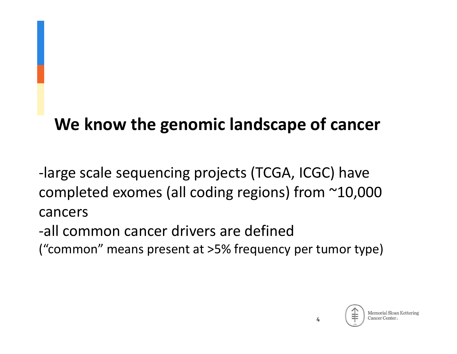# **We know the genomic landscape of cancer**

‐large scale sequencing projects (TCGA, ICGC) have completed exomes (all coding regions) from ~10,000 cancers

‐all common cancer drivers are defined ("common" means present at >5% frequency per tumor type)

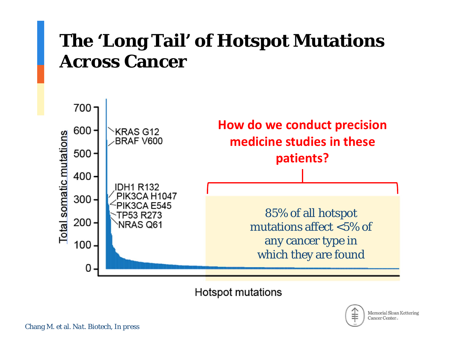# **The 'Long Tail' of Hotspot Mutations Across Cancer**



Hotspot mutations



Memorial Sloan Kettering Cancer Center.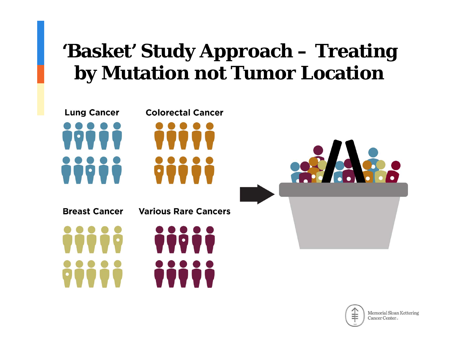# **'Basket' Study Approach – Treating by Mutation not Tumor Location**





Memorial Sloan Kettering Cancer Center...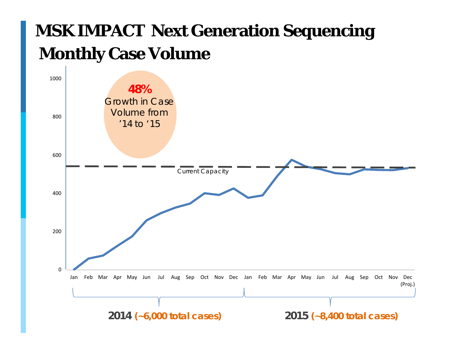# **MSK IMPACT Next Generation Sequencing Monthly Case Volume**

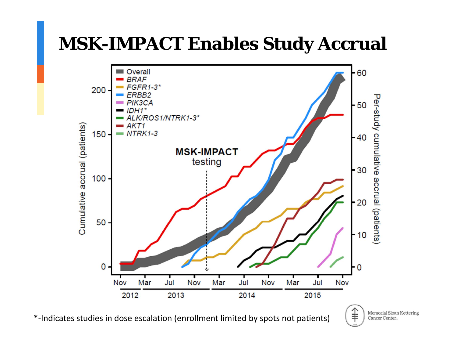# **MSK-IMPACT Enables Study Accrual**



\*‐Indicates studies in dose escalation (enrollment limited by spots not patients)



羊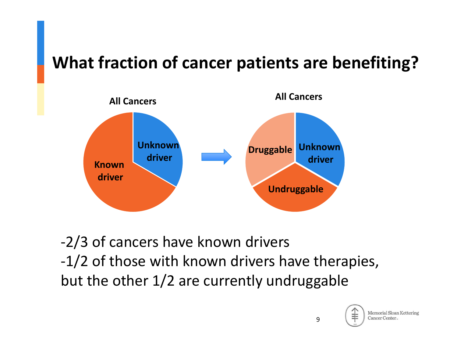## **What fraction of cancer patients are benefiting?**



‐2/3 of cancers have known drivers ‐1/2 of those with known drivers have therapies, but the other 1/2 are currently undruggable



**Memorial Sloan Kettering** Cancer Center.

9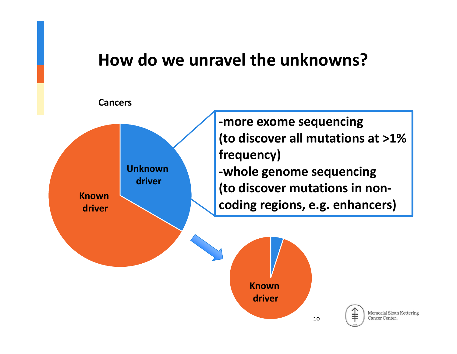### **How do we unravel the unknowns?**

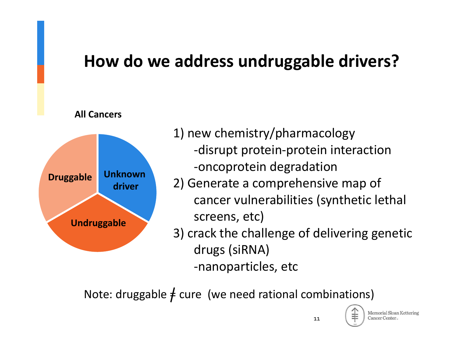# **How do we address undruggable drivers?**

#### **All Cancers**



- 1) new chemistry/pharmacology
	- ‐disrupt protein‐protein interaction ‐oncoprotein degradation
- 2) Generate <sup>a</sup> comprehensive map of cancer vulnerabilities (synthetic lethal screens, etc)
- 3) crack the challenge of delivering genetic drugs (siRNA) ‐nanoparticles, etc

Note: druggable  $\neq$  cure (we need rational combinations)

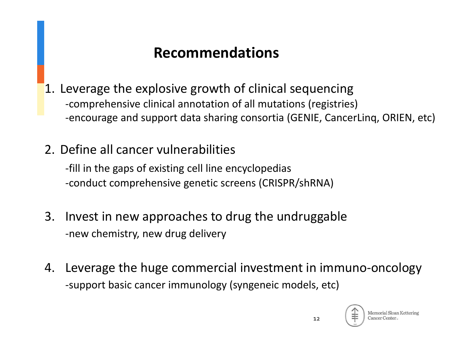### **Recommendations**

1. Leverage the explosive growth of clinical sequencing ‐comprehensive clinical annotation of all mutations (registries) ‐encourage and support data sharing consortia (GENIE, CancerLinq, ORIEN, etc)

#### 2. Define all cancer vulnerabilities

‐fill in the gaps of existing cell line encyclopedias ‐conduct comprehensive genetic screens (CRISPR/shRNA)

- 3. Invest in new approaches to drug the undruggable ‐new chemistry, new drug delivery
- 4. Leverage the huge commercial investment in immuno‐oncology ‐support basic cancer immunology (syngeneic models, etc)

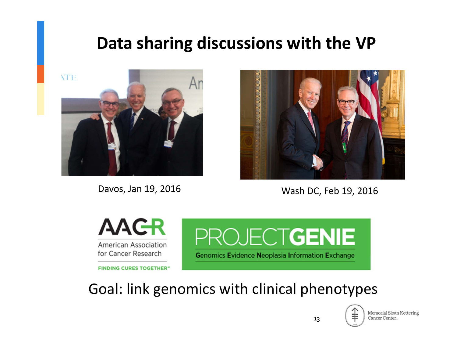## **Data sharing discussions with the VP**



Davos, Jan 19, 2016



Wash DC, Feb 19, 2016



**FINDING CURES TOGETHER"** 



### Goal: link genomics with clinical phenotypes



Memorial Sloan Kettering Cancer Center...